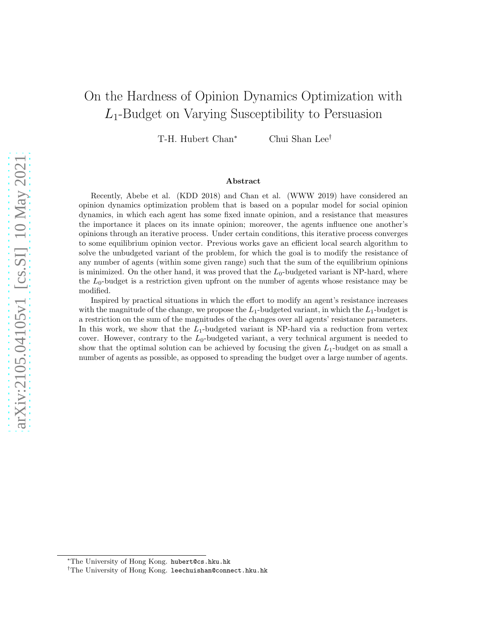# On the Hardness of Opinion Dynamics Optimization with L1-Budget on Varying Susceptibility to Persuasion

T-H. Hubert Chan<sup>∗</sup> Chui Shan Lee†

#### Abstract

Recently, Abebe et al. (KDD 2018) and Chan et al. (WWW 2019) have considered an opinion dynamics optimization problem that is based on a popular model for social opinion dynamics, in which each agent has some fixed innate opinion, and a resistance that measures the importance it places on its innate opinion; moreover, the agents influence one another's opinions through an iterative process. Under certain conditions, this iterative process converges to some equilibrium opinion vector. Previous works gave an efficient local search algorithm to solve the unbudgeted variant of the problem, for which the goal is to modify the resistance of any number of agents (within some given range) such that the sum of the equilibrium opinions is minimized. On the other hand, it was proved that the  $L_0$ -budgeted variant is NP-hard, where the  $L_0$ -budget is a restriction given upfront on the number of agents whose resistance may be modified.

Inspired by practical situations in which the effort to modify an agent's resistance increases with the magnitude of the change, we propose the  $L_1$ -budgeted variant, in which the  $L_1$ -budget is a restriction on the sum of the magnitudes of the changes over all agents' resistance parameters. In this work, we show that the  $L_1$ -budgeted variant is NP-hard via a reduction from vertex cover. However, contrary to the  $L_0$ -budgeted variant, a very technical argument is needed to show that the optimal solution can be achieved by focusing the given  $L_1$ -budget on as small a number of agents as possible, as opposed to spreading the budget over a large number of agents.

<sup>∗</sup>The University of Hong Kong. hubert@cs.hku.hk

<sup>&</sup>lt;sup>†</sup>The University of Hong Kong. leechuishan@connect.hku.hk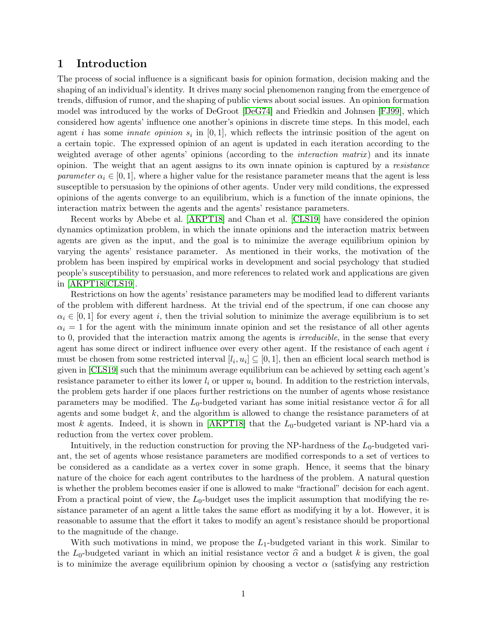### 1 Introduction

The process of social influence is a significant basis for opinion formation, decision making and the shaping of an individual's identity. It drives many social phenomenon ranging from the emergence of trends, diffusion of rumor, and the shaping of public views about social issues. An opinion formation model was introduced by the works of DeGroot [\[DeG74\]](#page-15-0) and Friedkin and Johnsen [\[FJ99\]](#page-15-1), which considered how agents' influence one another's opinions in discrete time steps. In this model, each agent *i* has some *innate opinion*  $s_i$  in  $[0, 1]$ , which reflects the intrinsic position of the agent on a certain topic. The expressed opinion of an agent is updated in each iteration according to the weighted average of other agents' opinions (according to the *interaction matrix*) and its innate opinion. The weight that an agent assigns to its own innate opinion is captured by a resistance parameter  $\alpha_i \in [0, 1]$ , where a higher value for the resistance parameter means that the agent is less susceptible to persuasion by the opinions of other agents. Under very mild conditions, the expressed opinions of the agents converge to an equilibrium, which is a function of the innate opinions, the interaction matrix between the agents and the agents' resistance parameters.

Recent works by Abebe et al. [\[AKPT18\]](#page-15-2) and Chan et al. [CLS19] have considered the opinion dynamics optimization problem, in which the innate opinions and the interaction matrix between agents are given as the input, and the goal is to minimize the average equilibrium opinion by varying the agents' resistance parameter. As mentioned in their works, the motivation of the problem has been inspired by empirical works in development and social psychology that studied people's susceptibility to persuasion, and more references to related work and applications are given in [\[AKPT18,](#page-15-2) CLS19].

Restrictions on how the agents' resistance parameters may be modified lead to different variants of the problem with different hardness. At the trivial end of the spectrum, if one can choose any  $\alpha_i \in [0, 1]$  for every agent i, then the trivial solution to minimize the average equilibrium is to set  $\alpha_i = 1$  for the agent with the minimum innate opinion and set the resistance of all other agents to 0, provided that the interaction matrix among the agents is *irreducible*, in the sense that every agent has some direct or indirect influence over every other agent. If the resistance of each agent i must be chosen from some restricted interval  $[l_i, u_i] \subseteq [0, 1]$ , then an efficient local search method is given in [CLS19] such that the minimum average equilibrium can be achieved by setting each agent's resistance parameter to either its lower  $l_i$  or upper  $u_i$  bound. In addition to the restriction intervals, the problem gets harder if one places further restrictions on the number of agents whose resistance parameters may be modified. The  $L_0$ -budgeted variant has some initial resistance vector  $\hat{\alpha}$  for all agents and some budget k, and the algorithm is allowed to change the resistance parameters of at most k agents. Indeed, it is shown in  $[AKPT18]$  that the  $L_0$ -budgeted variant is NP-hard via a reduction from the vertex cover problem.

Intuitively, in the reduction construction for proving the NP-hardness of the  $L_0$ -budgeted variant, the set of agents whose resistance parameters are modified corresponds to a set of vertices to be considered as a candidate as a vertex cover in some graph. Hence, it seems that the binary nature of the choice for each agent contributes to the hardness of the problem. A natural question is whether the problem becomes easier if one is allowed to make "fractional" decision for each agent. From a practical point of view, the  $L_0$ -budget uses the implicit assumption that modifying the resistance parameter of an agent a little takes the same effort as modifying it by a lot. However, it is reasonable to assume that the effort it takes to modify an agent's resistance should be proportional to the magnitude of the change.

With such motivations in mind, we propose the  $L_1$ -budgeted variant in this work. Similar to the L<sub>0</sub>-budgeted variant in which an initial resistance vector  $\hat{\alpha}$  and a budget k is given, the goal is to minimize the average equilibrium opinion by choosing a vector  $\alpha$  (satisfying any restriction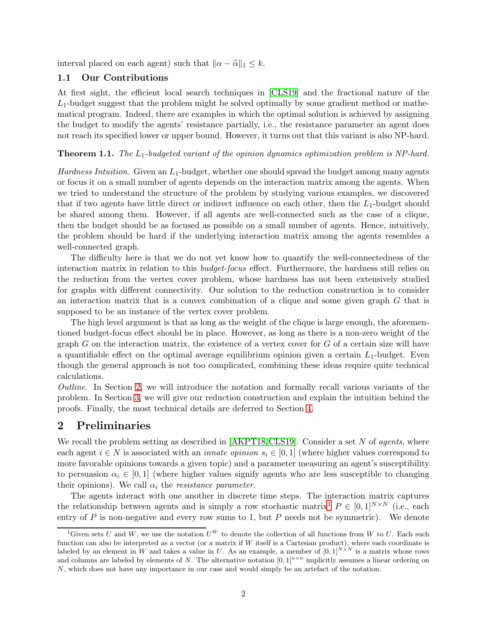interval placed on each agent) such that  $\|\alpha - \widehat{\alpha}\|_1 \leq k$ .

### 1.1 Our Contributions

At first sight, the efficient local search techniques in [CLS19] and the fractional nature of the  $L_1$ -budget suggest that the problem might be solved optimally by some gradient method or mathematical program. Indeed, there are examples in which the optimal solution is achieved by assigning the budget to modify the agents' resistance partially, i.e., the resistance parameter an agent does not reach its specified lower or upper bound. However, it turns out that this variant is also NP-hard.

### **Theorem 1.1.** The  $L_1$ -budgeted variant of the opinion dynamics optimization problem is NP-hard.

*Hardness Intuition.* Given an  $L_1$ -budget, whether one should spread the budget among many agents or focus it on a small number of agents depends on the interaction matrix among the agents. When we tried to understand the structure of the problem by studying various examples, we discovered that if two agents have little direct or indirect influence on each other, then the  $L_1$ -budget should be shared among them. However, if all agents are well-connected such as the case of a clique, then the budget should be as focused as possible on a small number of agents. Hence, intuitively, the problem should be hard if the underlying interaction matrix among the agents resembles a well-connected graph.

The difficulty here is that we do not yet know how to quantify the well-connectedness of the interaction matrix in relation to this *budget-focus* effect. Furthermore, the hardness still relies on the reduction from the vertex cover problem, whose hardness has not been extensively studied for graphs with different connectivity. Our solution to the reduction construction is to consider an interaction matrix that is a convex combination of a clique and some given graph G that is supposed to be an instance of the vertex cover problem.

The high level argument is that as long as the weight of the clique is large enough, the aforementioned budget-focus effect should be in place. However, as long as there is a non-zero weight of the graph  $G$  on the interaction matrix, the existence of a vertex cover for  $G$  of a certain size will have a quantifiable effect on the optimal average equilibrium opinion given a certain  $L_1$ -budget. Even though the general approach is not too complicated, combining these ideas require quite technical calculations.

Outline. In Section [2,](#page-2-0) we will introduce the notation and formally recall various variants of the problem. In Section [3,](#page-3-0) we will give our reduction construction and explain the intuition behind the proofs. Finally, the most technical details are deferred to Section [4.](#page-6-0)

# <span id="page-2-0"></span>2 Preliminaries

We recall the problem setting as described in  $[AKPT18, CLS19]$ . Consider a set N of *agents*, where each agent  $i \in N$  is associated with an *innate opinion*  $s_i \in [0,1]$  (where higher values correspond to more favorable opinions towards a given topic) and a parameter measuring an agent's susceptibility to persuasion  $\alpha_i \in [0,1]$  (where higher values signify agents who are less susceptible to changing their opinions). We call  $\alpha_i$  the *resistance parameter*.

The agents interact with one another in discrete time steps. The interaction matrix captures the relationship between agents and is simply a row stochastic matrix<sup>[1](#page-2-1)</sup>  $P \in [0,1]^{N \times N}$  (i.e., each entry of  $P$  is non-negative and every row sums to 1, but  $P$  needs not be symmetric). We denote

<span id="page-2-1"></span><sup>&</sup>lt;sup>1</sup>Given sets U and W, we use the notation  $U^W$  to denote the collection of all functions from W to U. Each such function can also be interpreted as a vector (or a matrix if  $W$  itself is a Cartesian product), where each coordinate is labeled by an element in W and takes a value in U. As an example, a member of  $[0,1]^{N\times N}$  is a matrix whose rows and columns are labeled by elements of N. The alternative notation  $[0,1]^{n \times n}$  implicitly assumes a linear ordering on N, which does not have any importance in our case and would simply be an artefact of the notation.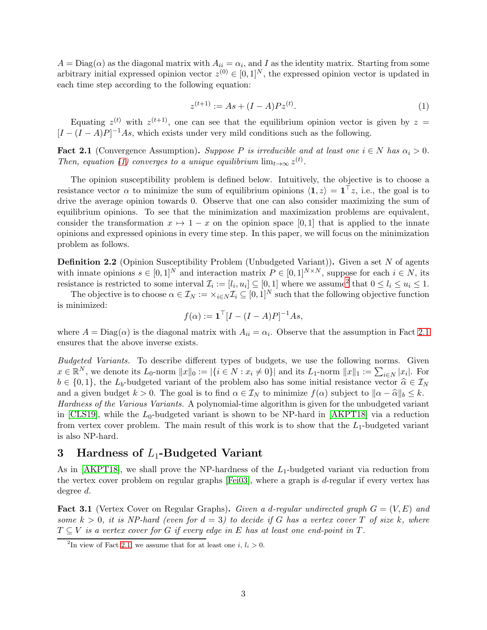<span id="page-3-1"></span> $A = \text{Diag}(\alpha)$  as the diagonal matrix with  $A_{ii} = \alpha_i$ , and I as the identity matrix. Starting from some arbitrary initial expressed opinion vector  $z^{(0)} \in [0,1]^N$ , the expressed opinion vector is updated in each time step according to the following equation:

$$
z^{(t+1)} := As + (I - A)Pz^{(t)}.
$$
\n(1)

<span id="page-3-3"></span>Equating  $z^{(t)}$  with  $z^{(t+1)}$ , one can see that the equilibrium opinion vector is given by  $z =$  $[I - (I - A)P]^{-1}As$ , which exists under very mild conditions such as the following.

**Fact 2.1** (Convergence Assumption). Suppose P is irreducible and at least one  $i \in N$  has  $\alpha_i > 0$ . Then, equation [\(1\)](#page-3-1) converges to a unique equilibrium  $\lim_{t\to\infty} z^{(t)}$ .

The opinion susceptibility problem is defined below. Intuitively, the objective is to choose a resistance vector  $\alpha$  to minimize the sum of equilibrium opinions  $\langle 1, z \rangle = \mathbf{1}^\top z$ , i.e., the goal is to drive the average opinion towards 0. Observe that one can also consider maximizing the sum of equilibrium opinions. To see that the minimization and maximization problems are equivalent, consider the transformation  $x \mapsto 1 - x$  on the opinion space [0, 1] that is applied to the innate opinions and expressed opinions in every time step. In this paper, we will focus on the minimization problem as follows.

Definition 2.2 (Opinion Susceptibility Problem (Unbudgeted Variant)). Given a set N of agents with innate opinions  $s \in [0,1]^N$  and interaction matrix  $P \in [0,1]^{N \times N}$ , suppose for each  $i \in N$ , its resistance is restricted to some interval  $\mathcal{I}_i := [l_i, u_i] \subseteq [0, 1]$  where we assume<sup>[2](#page-3-2)</sup> that  $0 \le l_i \le u_i \le 1$ .

The objective is to choose  $\alpha \in \mathcal{I}_N := \{i \in N} \mathcal{I}_i \subseteq [0,1]^N$  such that the following objective function is minimized:

$$
f(\alpha) := \mathbf{1}^\top [I - (I - A)P]^{-1} As,
$$

where  $A = \text{Diag}(\alpha)$  is the diagonal matrix with  $A_{ii} = \alpha_i$ . Observe that the assumption in Fact [2.1](#page-3-3) ensures that the above inverse exists.

Budgeted Variants. To describe different types of budgets, we use the following norms. Given  $x \in \mathbb{R}^N$ , we denote its  $L_0$ -norm  $||x||_0 := |\{i \in N : x_i \neq 0\}|$  and its  $L_1$ -norm  $||x||_1 := \sum_{i \in N} |x_i|$ . For  $b \in \{0,1\}$ , the L<sub>b</sub>-budgeted variant of the problem also has some initial resistance vector  $\hat{\alpha} \in \mathcal{I}_N$ and a given budget  $k > 0$ . The goal is to find  $\alpha \in \mathcal{I}_N$  to minimize  $f(\alpha)$  subject to  $\|\alpha - \widehat{\alpha}\|_b \leq k$ . Hardness of the Various Variants. A polynomial-time algorithm is given for the unbudgeted variant in [CLS19], while the  $L_0$ -budgeted variant is shown to be NP-hard in [\[AKPT18\]](#page-15-2) via a reduction

from vertex cover problem. The main result of this work is to show that the  $L_1$ -budgeted variant is also NP-hard.

# <span id="page-3-0"></span>3 Hardness of  $L_1$ -Budgeted Variant

As in  $[AKPT18]$ , we shall prove the NP-hardness of the  $L_1$ -budgeted variant via reduction from the vertex cover problem on regular graphs [\[Fei03\]](#page-15-3), where a graph is d-regular if every vertex has degree d.

**Fact 3.1** (Vertex Cover on Regular Graphs). Given a d-regular undirected graph  $G = (V, E)$  and some  $k > 0$ , it is NP-hard (even for  $d = 3$ ) to decide if G has a vertex cover T of size k, where  $T \subseteq V$  is a vertex cover for G if every edge in E has at least one end-point in T.

<span id="page-3-4"></span><span id="page-3-2"></span><sup>&</sup>lt;sup>2</sup>In view of Fact [2.1,](#page-3-3) we assume that for at least one *i*,  $l_i > 0$ .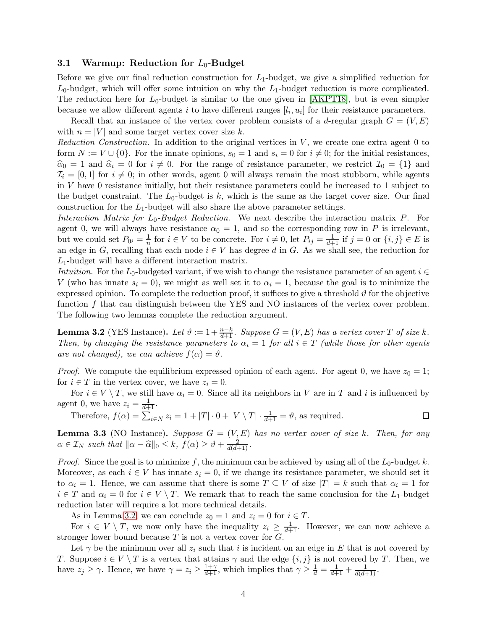### 3.1 Warmup: Reduction for  $L_0$ -Budget

Before we give our final reduction construction for  $L_1$ -budget, we give a simplified reduction for  $L_0$ -budget, which will offer some intuition on why the  $L_1$ -budget reduction is more complicated. The reduction here for  $L_0$ -budget is similar to the one given in [\[AKPT18\]](#page-15-2), but is even simpler because we allow different agents i to have different ranges  $[l_i, u_i]$  for their resistance parameters.

Recall that an instance of the vertex cover problem consists of a d-regular graph  $G = (V, E)$ with  $n = |V|$  and some target vertex cover size k.

Reduction Construction. In addition to the original vertices in  $V$ , we create one extra agent  $0$  to form  $N := V \cup \{0\}$ . For the innate opinions,  $s_0 = 1$  and  $s_i = 0$  for  $i \neq 0$ ; for the initial resistances,  $\hat{\alpha}_0 = 1$  and  $\hat{\alpha}_i = 0$  for  $i \neq 0$ . For the range of resistance parameter, we restrict  $\mathcal{I}_0 = \{1\}$  and  $\mathcal{I}_i = [0, 1]$  for  $i \neq 0$ ; in other words, agent 0 will always remain the most stubborn, while agents in V have 0 resistance initially, but their resistance parameters could be increased to 1 subject to the budget constraint. The  $L_0$ -budget is k, which is the same as the target cover size. Our final construction for the  $L_1$ -budget will also share the above parameter settings.

Interaction Matrix for  $L_0$ -Budget Reduction. We next describe the interaction matrix P. For agent 0, we will always have resistance  $\alpha_0 = 1$ , and so the corresponding row in P is irrelevant, but we could set  $P_{0i} = \frac{1}{n}$  for  $i \in V$  to be concrete. For  $i \neq 0$ , let  $P_{ij} = \frac{1}{d+1}$  if  $j = 0$  or  $\{i, j\} \in E$  is an edge in G, recalling that each node  $i \in V$  has degree d in G. As we shall see, the reduction for  $L_1$ -budget will have a different interaction matrix.

Intuition. For the L<sub>0</sub>-budgeted variant, if we wish to change the resistance parameter of an agent  $i \in$ V (who has innate  $s_i = 0$ ), we might as well set it to  $\alpha_i = 1$ , because the goal is to minimize the expressed opinion. To complete the reduction proof, it suffices to give a threshold  $\vartheta$  for the objective function f that can distinguish between the YES and NO instances of the vertex cover problem. The following two lemmas complete the reduction argument.

<span id="page-4-0"></span>**Lemma 3.2** (YES Instance). Let  $\vartheta := 1 + \frac{n-k}{d+1}$ . Suppose  $G = (V, E)$  has a vertex cover T of size k. Then, by changing the resistance parameters to  $\alpha_i = 1$  for all  $i \in T$  (while those for other agents are not changed), we can achieve  $f(\alpha) = \vartheta$ .

*Proof.* We compute the equilibrium expressed opinion of each agent. For agent 0, we have  $z_0 = 1$ ; for  $i \in T$  in the vertex cover, we have  $z_i = 0$ .

For  $i \in V \setminus T$ , we still have  $\alpha_i = 0$ . Since all its neighbors in V are in T and i is influenced by agent 0, we have  $z_i = \frac{1}{d+1}$ .

Therefore,  $f(\alpha) = \sum_{i \in N} z_i = 1 + |T| \cdot 0 + |V \setminus T| \cdot \frac{1}{d+1} = \vartheta$ , as required.  $\Box$ 

<span id="page-4-1"></span>**Lemma 3.3** (NO Instance). Suppose  $G = (V, E)$  has no vertex cover of size k. Then, for any  $\alpha \in \mathcal{I}_N$  such that  $\|\alpha - \widehat{\alpha}\|_0 \leq k, f(\alpha) \geq \vartheta + \frac{2}{d(d+1)}.$ 

*Proof.* Since the goal is to minimize f, the minimum can be achieved by using all of the  $L_0$ -budget k. Moreover, as each  $i \in V$  has innate  $s_i = 0$ , if we change its resistance parameter, we should set it to  $\alpha_i = 1$ . Hence, we can assume that there is some  $T \subseteq V$  of size  $|T| = k$  such that  $\alpha_i = 1$  for  $i \in T$  and  $\alpha_i = 0$  for  $i \in V \setminus T$ . We remark that to reach the same conclusion for the L<sub>1</sub>-budget reduction later will require a lot more technical details.

As in Lemma [3.2,](#page-4-0) we can conclude  $z_0 = 1$  and  $z_i = 0$  for  $i \in T$ .

For  $i \in V \setminus T$ , we now only have the inequality  $z_i \geq \frac{1}{d+1}$ . However, we can now achieve a stronger lower bound because  $T$  is not a vertex cover for  $G$ .

Let  $\gamma$  be the minimum over all  $z_i$  such that i is incident on an edge in E that is not covered by T. Suppose  $i \in V \setminus T$  is a vertex that attains  $\gamma$  and the edge  $\{i, j\}$  is not covered by T. Then, we have  $z_j \ge \gamma$ . Hence, we have  $\gamma = z_i \ge \frac{1+\gamma}{d+1}$ , which implies that  $\gamma \ge \frac{1}{d} = \frac{1}{d+1} + \frac{1}{d(d+1)}$ .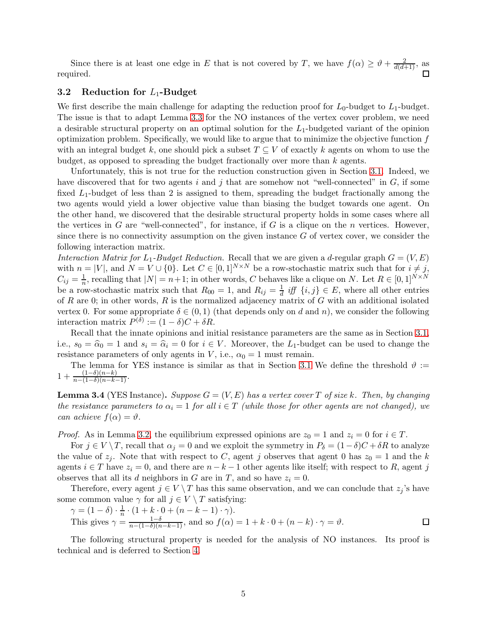Since there is at least one edge in E that is not covered by T, we have  $f(\alpha) \geq \vartheta + \frac{2}{d(d+1)}$ , as required.

### <span id="page-5-2"></span>3.2 Reduction for  $L_1$ -Budget

We first describe the main challenge for adapting the reduction proof for  $L_0$ -budget to  $L_1$ -budget. The issue is that to adapt Lemma [3.3](#page-4-1) for the NO instances of the vertex cover problem, we need a desirable structural property on an optimal solution for the  $L_1$ -budgeted variant of the opinion optimization problem. Specifically, we would like to argue that to minimize the objective function  $f$ with an integral budget k, one should pick a subset  $T \subseteq V$  of exactly k agents on whom to use the budget, as opposed to spreading the budget fractionally over more than  $k$  agents.

Unfortunately, this is not true for the reduction construction given in Section [3.1.](#page-3-4) Indeed, we have discovered that for two agents i and j that are somehow not "well-connected" in  $G$ , if some fixed  $L_1$ -budget of less than 2 is assigned to them, spreading the budget fractionally among the two agents would yield a lower objective value than biasing the budget towards one agent. On the other hand, we discovered that the desirable structural property holds in some cases where all the vertices in G are "well-connected", for instance, if G is a clique on the  $n$  vertices. However, since there is no connectivity assumption on the given instance  $G$  of vertex cover, we consider the following interaction matrix.

Interaction Matrix for  $L_1$ -Budget Reduction. Recall that we are given a d-regular graph  $G = (V, E)$ with  $n = |V|$ , and  $N = V \cup \{0\}$ . Let  $C \in [0,1]^{N \times N}$  be a row-stochastic matrix such that for  $i \neq j$ ,  $C_{ij} = \frac{1}{n}$ , recalling that  $|N| = n+1$ ; in other words, C behaves like a clique on N. Let  $R \in [0,1]^{N \times N}$ be a row-stochastic matrix such that  $R_{00} = 1$ , and  $R_{ij} = \frac{1}{d}$  iff  $\{i, j\} \in E$ , where all other entries of R are 0; in other words, R is the normalized adjacency matrix of G with an additional isolated vertex 0. For some appropriate  $\delta \in (0,1)$  (that depends only on d and n), we consider the following interaction matrix  $P^{(\delta)} := (1 - \delta)C + \delta R$ .

Recall that the innate opinions and initial resistance parameters are the same as in Section [3.1,](#page-3-4) i.e.,  $s_0 = \hat{\alpha}_0 = 1$  and  $s_i = \hat{\alpha}_i = 0$  for  $i \in V$ . Moreover, the L<sub>1</sub>-budget can be used to change the resistance parameters of only agents in V, i.e.,  $\alpha_0 = 1$  must remain.

<span id="page-5-1"></span>The lemma for YES instance is similar as that in Section [3.1](#page-3-4) We define the threshold  $\vartheta$  :=  $1 + \frac{(1-\delta)(n-k)}{n-(1-\delta)(n-k-1)}$ .

**Lemma 3.4** (YES Instance). Suppose  $G = (V, E)$  has a vertex cover T of size k. Then, by changing the resistance parameters to  $\alpha_i = 1$  for all  $i \in T$  (while those for other agents are not changed), we can achieve  $f(\alpha) = \vartheta$ .

*Proof.* As in Lemma [3.2,](#page-4-0) the equilibrium expressed opinions are  $z_0 = 1$  and  $z_i = 0$  for  $i \in T$ .

For  $j \in V \setminus T$ , recall that  $\alpha_j = 0$  and we exploit the symmetry in  $P_\delta = (1 - \delta)C + \delta R$  to analyze the value of  $z_j$ . Note that with respect to C, agent j observes that agent 0 has  $z_0 = 1$  and the k agents  $i \in T$  have  $z_i = 0$ , and there are  $n - k - 1$  other agents like itself; with respect to R, agent j observes that all its d neighbors in G are in T, and so have  $z_i = 0$ .

Therefore, every agent  $j \in V \setminus T$  has this same observation, and we can conclude that  $z_j$ 's have some common value  $\gamma$  for all  $j \in V \setminus T$  satisfying:

$$
\gamma = (1 - \delta) \cdot \frac{1}{n} \cdot (1 + k \cdot 0 + (n - k - 1) \cdot \gamma).
$$
  
This gives 
$$
\gamma = \frac{1 - \delta}{n - (1 - \delta)(n - k - 1)},
$$
 and so  $f(\alpha) = 1 + k \cdot 0 + (n - k) \cdot \gamma = \vartheta$ .

<span id="page-5-0"></span>The following structural property is needed for the analysis of NO instances. Its proof is technical and is deferred to Section [4.](#page-6-0)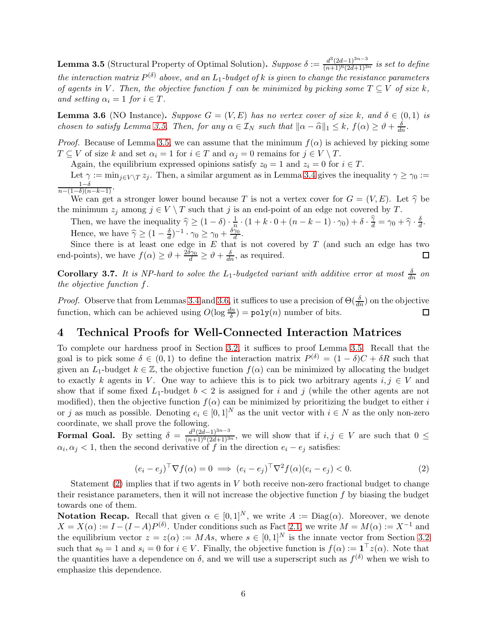**Lemma 3.5** (Structural Property of Optimal Solution). Suppose  $\delta := \frac{d^3(2d-1)^{3n-3}}{(n+1)^6(2d+1)^{3n}}$  is set to define the interaction matrix  $P^{(\delta)}$  above, and an  $L_1$ -budget of k is given to change the resistance parameters of agents in V. Then, the objective function f can be minimized by picking some  $T \subseteq V$  of size k, and setting  $\alpha_i = 1$  for  $i \in T$ .

<span id="page-6-1"></span>**Lemma 3.6** (NO Instance). Suppose  $G = (V, E)$  has no vertex cover of size k, and  $\delta \in (0, 1)$  is chosen to satisfy Lemma [3.5.](#page-5-0) Then, for any  $\alpha \in \mathcal{I}_N$  such that  $\|\alpha - \widehat{\alpha}\|_1 \leq k$ ,  $f(\alpha) \geq \vartheta + \frac{\delta}{dn}$ .

*Proof.* Because of Lemma [3.5,](#page-5-0) we can assume that the minimum  $f(\alpha)$  is achieved by picking some  $T \subseteq V$  of size k and set  $\alpha_i = 1$  for  $i \in T$  and  $\alpha_j = 0$  remains for  $j \in V \setminus T$ .

Again, the equilibrium expressed opinions satisfy  $z_0 = 1$  and  $z_i = 0$  for  $i \in T$ .

Let  $\gamma := \min_{i \in V \setminus T} z_i$ . Then, a similar argument as in Lemma [3.4](#page-5-1) gives the inequality  $\gamma \geq \gamma_0 :=$  $\frac{1-\delta}{n-(1-\delta)(n-k-1)}$ .

We can get a stronger lower bound because T is not a vertex cover for  $G = (V, E)$ . Let  $\hat{\gamma}$  be the minimum  $z_j$  among  $j \in V \setminus T$  such that j is an end-point of an edge not covered by T.

Then, we have the inequality  $\widehat{\gamma} \geq (1 - \delta) \cdot \frac{1}{n^2}$  $\frac{1}{n} \cdot (1 + k \cdot 0 + (n - k - 1) \cdot \gamma_0) + \delta \cdot \frac{\widehat{\gamma}}{d} = \gamma_0 + \widehat{\gamma} \cdot \frac{\delta}{d}$  $\frac{\delta}{d}$ . Hence, we have  $\widehat{\gamma} \geq (1 - \frac{\delta}{d})$  $\frac{\delta}{d}$ )<sup>-1</sup>· $\gamma_0 \geq \gamma_0 + \frac{\delta \gamma_0}{d}$  $\frac{\gamma_0}{d}$  .

Since there is at least one edge in  $E$  that is not covered by  $T$  (and such an edge has two end-points), we have  $f(\alpha) \ge \vartheta + \frac{2\delta\gamma_0}{d} \ge \vartheta + \frac{\delta}{dn}$ , as required. □

**Corollary 3.7.** It is NP-hard to solve the  $L_1$ -budgeted variant with additive error at most  $\frac{\delta}{dn}$  on the objective function f.

*Proof.* Observe that from Lemmas [3.4](#page-5-1) and [3.6,](#page-6-1) it suffices to use a precision of  $\Theta(\frac{\delta}{dn})$  on the objective function, which can be achieved using  $O(\log \frac{dn}{\delta}) = \text{poly}(n)$  number of bits. □

# <span id="page-6-0"></span>4 Technical Proofs for Well-Connected Interaction Matrices

To complete our hardness proof in Section [3.2,](#page-5-2) it suffices to proof Lemma [3.5.](#page-5-0) Recall that the goal is to pick some  $\delta \in (0,1)$  to define the interaction matrix  $P^{(\delta)} = (1 - \delta)C + \delta R$  such that given an  $L_1$ -budget  $k \in \mathbb{Z}$ , the objective function  $f(\alpha)$  can be minimized by allocating the budget to exactly k agents in V. One way to achieve this is to pick two arbitrary agents  $i, j \in V$  and show that if some fixed  $L_1$ -budget  $b < 2$  is assigned for i and j (while the other agents are not modified), then the objective function  $f(\alpha)$  can be minimized by prioritizing the budget to either i or j as much as possible. Denoting  $e_i \in [0,1]^N$  as the unit vector with  $i \in N$  as the only non-zero coordinate, we shall prove the following.

<span id="page-6-2"></span>Formal Goal. By setting  $\delta = \frac{d^3(2d-1)^{3n-3}}{(n+1)^6(2d+1)^{3n}}$ , we will show that if  $i, j \in V$  are such that  $0 \leq$  $\alpha_i, \alpha_j < 1$ , then the second derivative of f in the direction  $e_i - e_j$  satisfies:

$$
(e_i - e_j)^\top \nabla f(\alpha) = 0 \implies (e_i - e_j)^\top \nabla^2 f(\alpha)(e_i - e_j) < 0. \tag{2}
$$

Statement  $(2)$  implies that if two agents in V both receive non-zero fractional budget to change their resistance parameters, then it will not increase the objective function  $f$  by biasing the budget towards one of them.

<span id="page-6-3"></span>**Notation Recap.** Recall that given  $\alpha \in [0,1]^N$ , we write  $A := \text{Diag}(\alpha)$ . Moreover, we denote  $X = X(\alpha) := I - (I - A)P^{(\delta)}$ . Under conditions such as Fact [2.1,](#page-3-3) we write  $M = M(\alpha) := X^{-1}$  and the equilibrium vector  $z = z(\alpha) := MAs$ , where  $s \in [0,1]^N$  is the innate vector from Section [3.2](#page-5-2) such that  $s_0 = 1$  and  $s_i = 0$  for  $i \in V$ . Finally, the objective function is  $f(\alpha) := \mathbf{1}^\top z(\alpha)$ . Note that the quantities have a dependence on  $\delta$ , and we will use a superscript such as  $f^{(\delta)}$  when we wish to emphasize this dependence.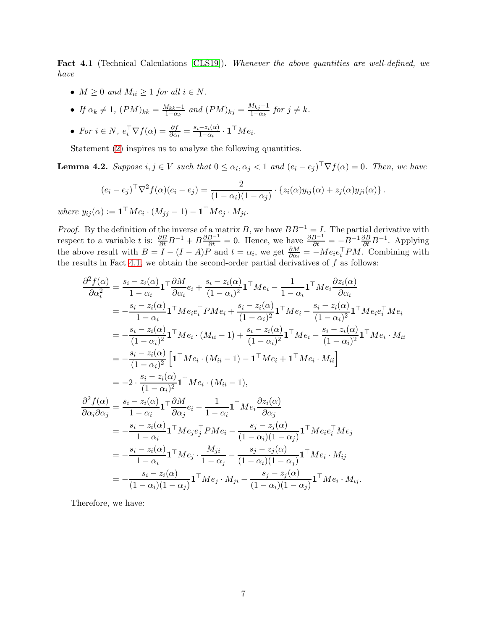Fact 4.1 (Technical Calculations [CLS19]). Whenever the above quantities are well-defined, we have

- $M \geq 0$  and  $M_{ii} \geq 1$  for all  $i \in N$ .
- If  $\alpha_k \neq 1$ ,  $(PM)_{kk} = \frac{M_{kk}-1}{1-\alpha_k}$  $\frac{M_{kk}-1}{1-\alpha_k}$  and  $(PM)_{kj} = \frac{M_{kj}-1}{1-\alpha_k}$  $\frac{a_{kj}-1}{1-a_k}$  for  $j \neq k$ .
- For  $i \in N$ ,  $e_i^{\top} \nabla f(\alpha) = \frac{\partial f}{\partial \alpha_i} = \frac{s_i z_i(\alpha)}{1 \alpha_i}$  $\frac{-z_i(\alpha)}{1-\alpha_i} \cdot \mathbf{1}^\top M e_i.$

<span id="page-7-0"></span>Statement [\(2\)](#page-6-2) inspires us to analyze the following quantities.

**Lemma 4.2.** Suppose  $i, j \in V$  such that  $0 \leq \alpha_i, \alpha_j < 1$  and  $(e_i - e_j)^\top \nabla f(\alpha) = 0$ . Then, we have

$$
(e_i - e_j)^\top \nabla^2 f(\alpha)(e_i - e_j) = \frac{2}{(1 - \alpha_i)(1 - \alpha_j)} \cdot \left\{ z_i(\alpha)y_{ij}(\alpha) + z_j(\alpha)y_{ji}(\alpha) \right\}.
$$

where  $y_{ij}(\alpha) := \mathbf{1}^\top M e_i \cdot (M_{jj} - 1) - \mathbf{1}^\top M e_j \cdot M_{ji}$ .

*Proof.* By the definition of the inverse of a matrix B, we have  $BB^{-1} = I$ . The partial derivative with respect to a variable t is:  $\frac{\partial B}{\partial t}B^{-1} + B \frac{\partial B^{-1}}{\partial t} = 0$ . Hence, we have  $\frac{\partial B^{-1}}{\partial t} = -B^{-1} \frac{\partial B}{\partial t} B^{-1}$ . Applying the above result with  $B = I - (I - A)P$  and  $t = \alpha_i$ , we get  $\frac{\partial M}{\partial \alpha_i} = -Me_ie_i^TPM$ . Combining with the results in Fact [4.1,](#page-6-3) we obtain the second-order partial derivatives of  $f$  as follows:

$$
\frac{\partial^2 f(\alpha)}{\partial \alpha_i^2} = \frac{s_i - z_i(\alpha)}{1 - \alpha_i} \mathbf{1}^\top \frac{\partial M}{\partial \alpha_i} e_i + \frac{s_i - z_i(\alpha)}{(1 - \alpha_i)^2} \mathbf{1}^\top M e_i - \frac{1}{1 - \alpha_i} \mathbf{1}^\top M e_i \frac{\partial z_i(\alpha)}{\partial \alpha_i}
$$
\n
$$
= -\frac{s_i - z_i(\alpha)}{1 - \alpha_i} \mathbf{1}^\top M e_i e_i^\top P M e_i + \frac{s_i - z_i(\alpha)}{(1 - \alpha_i)^2} \mathbf{1}^\top M e_i - \frac{s_i - z_i(\alpha)}{(1 - \alpha_i)^2} \mathbf{1}^\top M e_i e_i^\top M e_i
$$
\n
$$
= -\frac{s_i - z_i(\alpha)}{(1 - \alpha_i)^2} \mathbf{1}^\top M e_i \cdot (M_{ii} - 1) + \frac{s_i - z_i(\alpha)}{(1 - \alpha_i)^2} \mathbf{1}^\top M e_i - \frac{s_i - z_i(\alpha)}{(1 - \alpha_i)^2} \mathbf{1}^\top M e_i \cdot M_{ii}
$$
\n
$$
= -2 \cdot \frac{s_i - z_i(\alpha)}{(1 - \alpha_i)^2} \left[ \mathbf{1}^\top M e_i \cdot (M_{ii} - 1) - \mathbf{1}^\top M e_i + \mathbf{1}^\top M e_i \cdot M_{ii} \right]
$$
\n
$$
= -2 \cdot \frac{s_i - z_i(\alpha)}{(1 - \alpha_i)^2} \mathbf{1}^\top M e_i \cdot (M_{ii} - 1),
$$
\n
$$
\frac{\partial^2 f(\alpha)}{\partial \alpha_i \partial \alpha_j} = \frac{s_i - z_i(\alpha)}{1 - \alpha_i} \mathbf{1}^\top M e_i e_i^\top P M e_i - \frac{s_j - z_j(\alpha)}{(1 - \alpha_i)(1 - \alpha_j)} \mathbf{1}^\top M e_i e_i^\top M e_j
$$
\n
$$
= -\frac{s_i - z_i(\alpha)}{1 - \alpha_i} \mathbf{1}^\top M e_j \cdot \frac{M_{ji}}{1 - \alpha_j} - \frac{s_j - z_j(\alpha)}{(1 - \alpha_i)(1 - \alpha_j)} \mathbf{1}^\top M e_i \cdot M_{ij}
$$
\n
$$
= -\frac{s_i - z_i(\alpha)}{(1 - \alpha_i)(1 - \alpha_j)} \mathbf{1}^\top M e
$$

Therefore, we have: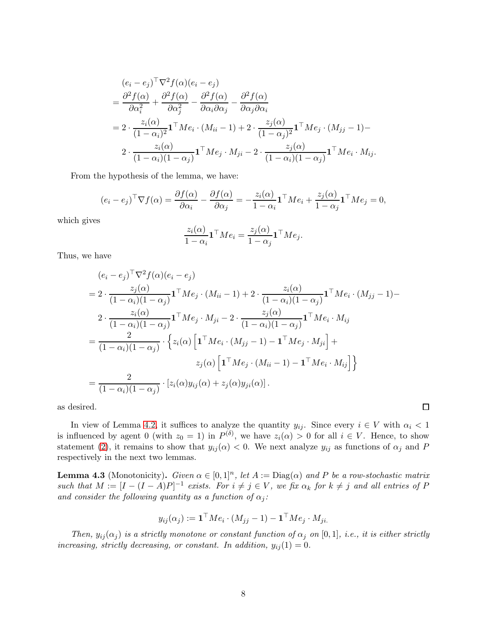$$
(e_i - e_j)^{\top} \nabla^2 f(\alpha)(e_i - e_j)
$$
  
=  $\frac{\partial^2 f(\alpha)}{\partial \alpha_i^2} + \frac{\partial^2 f(\alpha)}{\partial \alpha_j^2} - \frac{\partial^2 f(\alpha)}{\partial \alpha_i \partial \alpha_j} - \frac{\partial^2 f(\alpha)}{\partial \alpha_j \partial \alpha_i}$   
=  $2 \cdot \frac{z_i(\alpha)}{(1 - \alpha_i)^2} \mathbf{1}^{\top} M e_i \cdot (M_{ii} - 1) + 2 \cdot \frac{z_j(\alpha)}{(1 - \alpha_j)^2} \mathbf{1}^{\top} M e_j \cdot (M_{jj} - 1) -$   
 $2 \cdot \frac{z_i(\alpha)}{(1 - \alpha_i)(1 - \alpha_j)} \mathbf{1}^{\top} M e_j \cdot M_{ji} - 2 \cdot \frac{z_j(\alpha)}{(1 - \alpha_i)(1 - \alpha_j)} \mathbf{1}^{\top} M e_i \cdot M_{ij}.$ 

From the hypothesis of the lemma, we have:

$$
(e_i - e_j)^\top \nabla f(\alpha) = \frac{\partial f(\alpha)}{\partial \alpha_i} - \frac{\partial f(\alpha)}{\partial \alpha_j} = -\frac{z_i(\alpha)}{1 - \alpha_i} \mathbf{1}^\top M e_i + \frac{z_j(\alpha)}{1 - \alpha_j} \mathbf{1}^\top M e_j = 0,
$$

which gives

$$
\frac{z_i(\alpha)}{1-\alpha_i} \mathbf{1}^\top M e_i = \frac{z_j(\alpha)}{1-\alpha_j} \mathbf{1}^\top M e_j.
$$

Thus, we have

$$
(e_i - e_j)^{\top} \nabla^2 f(\alpha)(e_i - e_j)
$$
  
=  $2 \cdot \frac{z_j(\alpha)}{(1 - \alpha_i)(1 - \alpha_j)} \mathbf{1}^{\top} M e_j \cdot (M_{ii} - 1) + 2 \cdot \frac{z_i(\alpha)}{(1 - \alpha_i)(1 - \alpha_j)} \mathbf{1}^{\top} M e_i \cdot (M_{jj} - 1) -$   
 $2 \cdot \frac{z_i(\alpha)}{(1 - \alpha_i)(1 - \alpha_j)} \mathbf{1}^{\top} M e_j \cdot M_{ji} - 2 \cdot \frac{z_j(\alpha)}{(1 - \alpha_i)(1 - \alpha_j)} \mathbf{1}^{\top} M e_i \cdot M_{ij}$   
=  $\frac{2}{(1 - \alpha_i)(1 - \alpha_j)} \cdot \left\{ z_i(\alpha) \left[ \mathbf{1}^{\top} M e_i \cdot (M_{jj} - 1) - \mathbf{1}^{\top} M e_j \cdot M_{ji} \right] +$   
 $z_j(\alpha) \left[ \mathbf{1}^{\top} M e_j \cdot (M_{ii} - 1) - \mathbf{1}^{\top} M e_i \cdot M_{ij} \right] \right\}$   
=  $\frac{2}{(1 - \alpha_i)(1 - \alpha_j)} \cdot [z_i(\alpha)y_{ij}(\alpha) + z_j(\alpha)y_{ji}(\alpha)].$ 

as desired.

In view of Lemma [4.2,](#page-7-0) it suffices to analyze the quantity  $y_{ij}$ . Since every  $i \in V$  with  $\alpha_i < 1$ is influenced by agent 0 (with  $z_0 = 1$ ) in  $P^{(\delta)}$ , we have  $z_i(\alpha) > 0$  for all  $i \in V$ . Hence, to show statement [\(2\)](#page-6-2), it remains to show that  $y_{ij}(\alpha) < 0$ . We next analyze  $y_{ij}$  as functions of  $\alpha_j$  and P respectively in the next two lemmas.

 $\Box$ 

<span id="page-8-0"></span>**Lemma 4.3** (Monotonicity). Given  $\alpha \in [0,1]^n$ , let  $A := \text{Diag}(\alpha)$  and P be a row-stochastic matrix such that  $M := [I - (I - A)P]^{-1}$  exists. For  $i \neq j \in V$ , we fix  $\alpha_k$  for  $k \neq j$  and all entries of P and consider the following quantity as a function of  $\alpha_i$ :

$$
y_{ij}(\alpha_j) := \mathbf{1}^\top M e_i \cdot (M_{jj} - 1) - \mathbf{1}^\top M e_j \cdot M_{ji}.
$$

Then,  $y_{ij}(\alpha_j)$  is a strictly monotone or constant function of  $\alpha_j$  on [0,1], i.e., it is either strictly increasing, strictly decreasing, or constant. In addition,  $y_{ij}(1) = 0$ .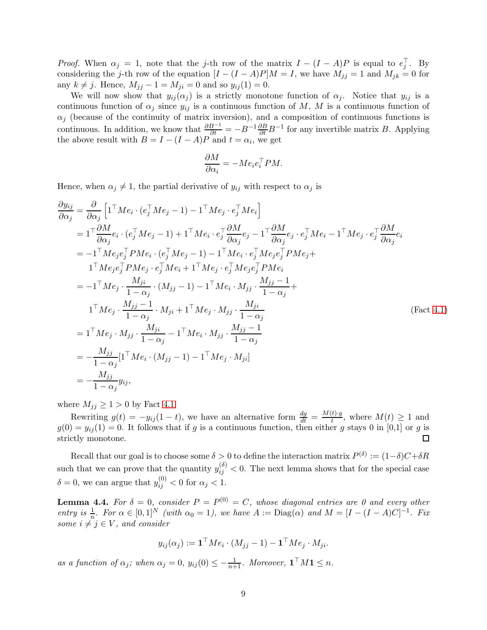*Proof.* When  $\alpha_j = 1$ , note that the j-th row of the matrix  $I - (I - A)P$  is equal to  $e_j^{\top}$ . By considering the j-th row of the equation  $[I - (I - A)P]M = I$ , we have  $M_{jj} = 1$  and  $M_{jk} = 0$  for any  $k \neq j$ . Hence,  $M_{jj} - 1 = M_{ji} = 0$  and so  $y_{ij}(1) = 0$ .

We will now show that  $y_{ij}(\alpha_j)$  is a strictly monotone function of  $\alpha_j$ . Notice that  $y_{ij}$  is a continuous function of  $\alpha_j$  since  $y_{ij}$  is a continuous function of M, M is a continuous function of  $\alpha_j$  (because of the continuity of matrix inversion), and a composition of continuous functions is continuous. In addition, we know that  $\frac{\partial B^{-1}}{\partial t} = -B^{-1} \frac{\partial B}{\partial t} B^{-1}$  for any invertible matrix B. Applying the above result with  $B = I - (I - A)P$  and  $t = \alpha_i$ , we get

$$
\frac{\partial M}{\partial \alpha_i} = -M e_i e_i^{\top} P M.
$$

Hence, when  $\alpha_j \neq 1$ , the partial derivative of  $y_{ij}$  with respect to  $\alpha_j$  is

$$
\frac{\partial y_{ij}}{\partial \alpha_j} = \frac{\partial}{\partial \alpha_j} \left[ 1^\top M e_i \cdot (e_j^\top M e_j - 1) - 1^\top M e_j \cdot e_j^\top M e_i \right]
$$
\n
$$
= 1^\top \frac{\partial M}{\partial \alpha_j} e_i \cdot (e_j^\top M e_j - 1) + 1^\top M e_i \cdot e_j^\top \frac{\partial M}{\partial \alpha_j} e_j - 1^\top \frac{\partial M}{\partial \alpha_j} e_j \cdot e_j^\top M e_i - 1^\top M e_j \cdot e_j^\top \frac{\partial M}{\partial \alpha_j} e_i
$$
\n
$$
= -1^\top M e_j e_j^\top P M e_i \cdot (e_j^\top M e_j - 1) - 1^\top M e_i \cdot e_j^\top M e_j e_j^\top P M e_j +
$$
\n
$$
1^\top M e_j e_j^\top P M e_j \cdot e_j^\top M e_i + 1^\top M e_j \cdot e_j^\top M e_j e_j^\top P M e_i
$$
\n
$$
= -1^\top M e_j \cdot \frac{M_{ji}}{1 - \alpha_j} \cdot (M_{jj} - 1) - 1^\top M e_i \cdot M_{jj} \cdot \frac{M_{jj} - 1}{1 - \alpha_j} +
$$
\n
$$
1^\top M e_j \cdot \frac{M_{jj} - 1}{1 - \alpha_j} \cdot M_{ji} + 1^\top M e_j \cdot M_{jj} \cdot \frac{M_{ji}}{1 - \alpha_j}
$$
\n
$$
= 1^\top M e_j \cdot M_{jj} \cdot \frac{M_{ji}}{1 - \alpha_j} - 1^\top M e_i \cdot M_{jj} \cdot \frac{M_{jj} - 1}{1 - \alpha_j}
$$
\n
$$
= -\frac{M_{jj}}{1 - \alpha_j} [1^\top M e_i \cdot (M_{jj} - 1) - 1^\top M e_j \cdot M_{ji}]
$$
\n
$$
= -\frac{M_{jj}}{1 - \alpha_j} y_{ij},
$$
\n(Fact 4.1)

where  $M_{ij} \geq 1 > 0$  by Fact [4.1.](#page-6-3)

Rewriting  $g(t) = -y_{ij}(1-t)$ , we have an alternative form  $\frac{dg}{dt} = \frac{M(t) \cdot g}{t}$  $\frac{t \cdot y}{t}$ , where  $M(t) \geq 1$  and  $g(0) = y_{ij}(1) = 0$ . It follows that if g is a continuous function, then either g stays 0 in [0,1] or g is strictly monotone.  $\Box$ 

Recall that our goal is to choose some  $\delta > 0$  to define the interaction matrix  $P^{(\delta)} := (1-\delta)C + \delta R$ such that we can prove that the quantity  $y_{ij}^{(\delta)} < 0$ . The next lemma shows that for the special case  $\delta = 0$ , we can argue that  $y_{ij}^{(0)} < 0$  for  $\alpha_j < 1$ .

<span id="page-9-0"></span>**Lemma 4.4.** For  $\delta = 0$ , consider  $P = P^{(0)} = C$ , whose diagonal entries are 0 and every other entry is  $\frac{1}{n}$ . For  $\alpha \in [0,1]^N$  (with  $\alpha_0 = 1$ ), we have  $A := \text{Diag}(\alpha)$  and  $M = [I - (I - A)C]^{-1}$ . Fix some  $i \neq j \in V$ , and consider

$$
y_{ij}(\alpha_j) := \mathbf{1}^\top M e_i \cdot (M_{jj} - 1) - \mathbf{1}^\top M e_j \cdot M_{ji}.
$$

as a function of  $\alpha_j$ ; when  $\alpha_j = 0$ ,  $y_{ij}(0) \leq -\frac{1}{n+1}$ . Moreover,  $\mathbf{1}^\top M \mathbf{1} \leq n$ .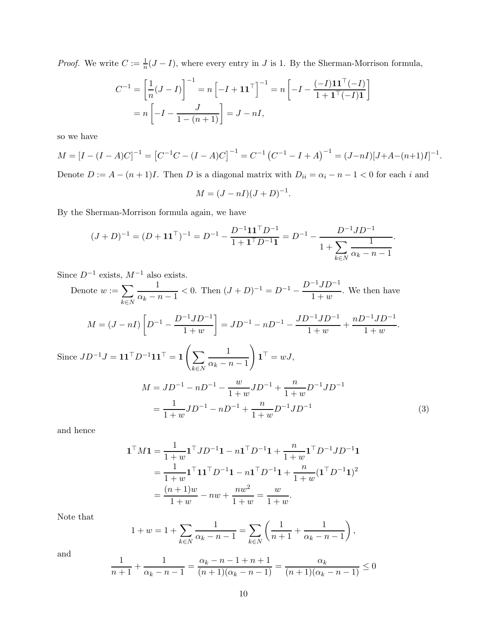*Proof.* We write  $C := \frac{1}{n}(J - I)$ , where every entry in J is 1. By the Sherman-Morrison formula,

$$
C^{-1} = \left[\frac{1}{n}(J - I)\right]^{-1} = n\left[-I + \mathbf{1}\mathbf{1}^\top\right]^{-1} = n\left[-I - \frac{(-I)\mathbf{1}\mathbf{1}^\top(-I)}{1 + \mathbf{1}^\top(-I)\mathbf{1}}\right]
$$

$$
= n\left[-I - \frac{J}{1 - (n+1)}\right] = J - nI,
$$

so we have

 $M = [I - (I - A)C]^{-1} = [C^{-1}C - (I - A)C]^{-1} = C^{-1}(C^{-1} - I + A)^{-1} = (J - nI)[J + A - (n+1)I]^{-1}.$ 

Denote  $D := A - (n + 1)I$ . Then D is a diagonal matrix with  $D_{ii} = \alpha_i - n - 1 < 0$  for each i and

$$
M = (J - nI)(J + D)^{-1}.
$$

By the Sherman-Morrison formula again, we have

$$
(J+D)^{-1} = (D+{\bf 1}{\bf 1}^\top)^{-1} = D^{-1} - \frac{D^{-1}{\bf 1}{\bf 1}^\top D^{-1}}{1+{\bf 1}^\top D^{-1}{\bf 1}} = D^{-1} - \frac{D^{-1} J D^{-1}}{1+\sum_{k\in N} \frac{1}{\alpha_k - n - 1}}.
$$

Since  $D^{-1}$  exists,  $M^{-1}$  also exists.

Denote 
$$
w := \sum_{k \in N} \frac{1}{\alpha_k - n - 1} < 0
$$
. Then  $(J + D)^{-1} = D^{-1} - \frac{D^{-1}JD^{-1}}{1+w}$ . We then have  
\n
$$
M = (J - nI) \left[ D^{-1} - \frac{D^{-1}JD^{-1}}{1+w} \right] = JD^{-1} - nD^{-1} - \frac{JD^{-1}JD^{-1}}{1+w} + \frac{nD^{-1}JD^{-1}}{1+w}.
$$
\nSince  $JD^{-1}J = 11^T D^{-1}11^T = 1 \left( \sum_{k \in N} \frac{1}{\alpha_k - n - 1} \right) 1^T = wJ$ ,  
\n
$$
M = JD^{-1} - nD^{-1} - \frac{w}{1+w} JD^{-1} + \frac{n}{1+w} D^{-1}JD^{-1}
$$
\n
$$
= \frac{1}{1+w} JD^{-1} - nD^{-1} + \frac{n}{1+w} D^{-1}JD^{-1}
$$
\n(3)

and hence

<span id="page-10-0"></span>
$$
\mathbf{1}^{\top} M \mathbf{1} = \frac{1}{1+w} \mathbf{1}^{\top} J D^{-1} \mathbf{1} - n \mathbf{1}^{\top} D^{-1} \mathbf{1} + \frac{n}{1+w} \mathbf{1}^{\top} D^{-1} J D^{-1} \mathbf{1}
$$
  
= 
$$
\frac{1}{1+w} \mathbf{1}^{\top} \mathbf{1} \mathbf{1}^{\top} D^{-1} \mathbf{1} - n \mathbf{1}^{\top} D^{-1} \mathbf{1} + \frac{n}{1+w} (\mathbf{1}^{\top} D^{-1} \mathbf{1})^2
$$
  
= 
$$
\frac{(n+1)w}{1+w} - nw + \frac{nw^2}{1+w} = \frac{w}{1+w}.
$$

Note that

$$
1 + w = 1 + \sum_{k \in N} \frac{1}{\alpha_k - n - 1} = \sum_{k \in N} \left( \frac{1}{n+1} + \frac{1}{\alpha_k - n - 1} \right),
$$

and

$$
\frac{1}{n+1} + \frac{1}{\alpha_k - n - 1} = \frac{\alpha_k - n - 1 + n + 1}{(n+1)(\alpha_k - n - 1)} = \frac{\alpha_k}{(n+1)(\alpha_k - n - 1)} \le 0
$$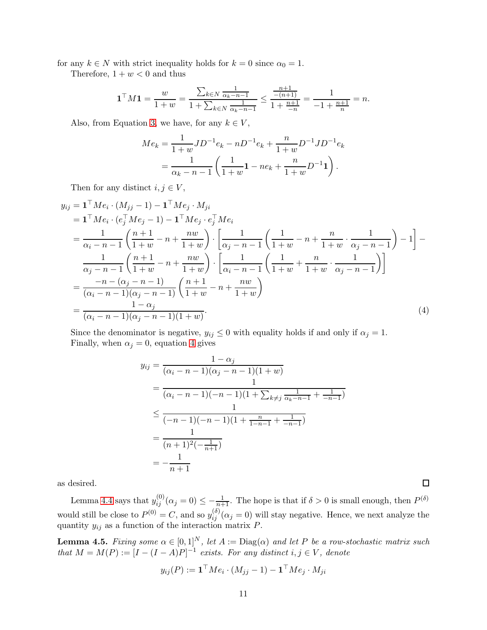for any  $k \in N$  with strict inequality holds for  $k = 0$  since  $\alpha_0 = 1$ .

Therefore,  $1 + w < 0$  and thus

$$
\mathbf{1}^{\top}M\mathbf{1} = \frac{w}{1+w} = \frac{\sum_{k \in N} \frac{1}{\alpha_k - n - 1}}{1 + \sum_{k \in N} \frac{1}{\alpha_k - n - 1}} \le \frac{\frac{n+1}{-(n+1)}}{1 + \frac{n+1}{-n}} = \frac{1}{-1 + \frac{n+1}{n}} = n.
$$

Also, from Equation [3,](#page-10-0) we have, for any  $k \in V$ ,

$$
Me_k = \frac{1}{1+w} JD^{-1}e_k - nD^{-1}e_k + \frac{n}{1+w}D^{-1}JD^{-1}e_k
$$
  
= 
$$
\frac{1}{\alpha_k - n - 1} \left( \frac{1}{1+w} \mathbf{1} - ne_k + \frac{n}{1+w} D^{-1} \mathbf{1} \right).
$$

Then for any distinct  $i, j \in V$ ,

$$
y_{ij} = \mathbf{1}^{\top} Me_i \cdot (M_{jj} - 1) - \mathbf{1}^{\top} Me_j \cdot M_{ji}
$$
  
\n
$$
= \mathbf{1}^{\top} Me_i \cdot (e_j^{\top} Me_j - 1) - \mathbf{1}^{\top} Me_j \cdot e_j^{\top} Me_i
$$
  
\n
$$
= \frac{1}{\alpha_i - n - 1} \left( \frac{n+1}{1+w} - n + \frac{nw}{1+w} \right) \cdot \left[ \frac{1}{\alpha_j - n - 1} \left( \frac{1}{1+w} - n + \frac{n}{1+w} \cdot \frac{1}{\alpha_j - n - 1} \right) - 1 \right] - \frac{1}{\alpha_j - n - 1} \left( \frac{n+1}{1+w} - n + \frac{nw}{1+w} \right) \cdot \left[ \frac{1}{\alpha_i - n - 1} \left( \frac{1}{1+w} + \frac{n}{1+w} \cdot \frac{1}{\alpha_j - n - 1} \right) \right]
$$
  
\n
$$
= \frac{-n - (\alpha_j - n - 1)}{(\alpha_i - n - 1)(\alpha_j - n - 1)} \left( \frac{n+1}{1+w} - n + \frac{nw}{1+w} \right)
$$
  
\n
$$
= \frac{1 - \alpha_j}{(\alpha_i - n - 1)(\alpha_j - n - 1)(1+w)}.
$$
 (4)

Since the denominator is negative,  $y_{ij} \leq 0$  with equality holds if and only if  $\alpha_j = 1$ . Finally, when  $\alpha_j = 0$ , equation [4](#page-11-0) gives

$$
y_{ij} = \frac{1 - \alpha_j}{(\alpha_i - n - 1)(\alpha_j - n - 1)(1 + w)}
$$
  
= 
$$
\frac{1}{(\alpha_i - n - 1)(-n - 1)(1 + \sum_{k \neq j} \frac{1}{\alpha_k - n - 1} + \frac{1}{-n - 1})}
$$
  

$$
\leq \frac{1}{(-n - 1)(-n - 1)(1 + \frac{n}{1 - n - 1} + \frac{1}{-n - 1})}
$$
  
= 
$$
\frac{1}{(n + 1)^2(-\frac{1}{n + 1})}
$$
  
= 
$$
-\frac{1}{n + 1}
$$

<span id="page-11-0"></span> $\square$ 

as desired.

Lemma [4.4](#page-9-0) says that  $y_{ij}^{(0)}(\alpha_j=0) \leq -\frac{1}{n+1}$ . The hope is that if  $\delta > 0$  is small enough, then  $P^{(\delta)}$ would still be close to  $P^{(0)} = C$ , and so  $y_{ij}^{(\delta)}(\alpha_j = 0)$  will stay negative. Hence, we next analyze the quantity  $y_{ij}$  as a function of the interaction matrix  $P$ .

<span id="page-11-1"></span>**Lemma 4.5.** Fixing some  $\alpha \in [0,1]^N$ , let  $A := \text{Diag}(\alpha)$  and let P be a row-stochastic matrix such that  $M = M(P) := [I - (I - A)P]^{-1}$  exists. For any distinct  $i, j \in V$ , denote

$$
y_{ij}(P) := \mathbf{1}^\top M e_i \cdot (M_{jj} - 1) - \mathbf{1}^\top M e_j \cdot M_{ji}
$$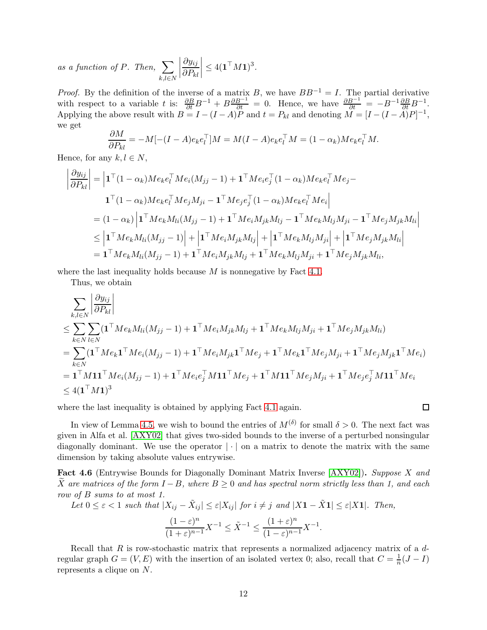as a function of P. Then,  $\sum$  $k,l \in N$   $\partial y_{ij}$  $\partial P_{kl}$  $\begin{array}{c} \begin{array}{c} \begin{array}{c} \end{array} \\ \begin{array}{c} \end{array} \end{array} \end{array}$  $\leq 4(\mathbf{1}^{\top}M\mathbf{1})^3.$ 

*Proof.* By the definition of the inverse of a matrix B, we have  $BB^{-1} = I$ . The partial derivative with respect to a variable t is:  $\frac{\partial B}{\partial t}B^{-1} + B \frac{\partial B^{-1}}{\partial t} = 0$ . Hence, we have  $\frac{\partial B^{-1}}{\partial t} = -B^{-1} \frac{\partial B}{\partial t} B^{-1}$ . Applying the above result with  $B = I - (I - A)P$  and  $t = P_{kl}$  and denoting  $\tilde{M} = [I - (I - A)P]^{-1}$ , we get

$$
\frac{\partial M}{\partial P_{kl}} = -M[-(I-A)e_k e_l^{\top}]M = M(I-A)e_k e_l^{\top} M = (1-\alpha_k)Me_k e_l^{\top} M.
$$

Hence, for any  $k, l \in N$ ,

$$
\left| \frac{\partial y_{ij}}{\partial P_{kl}} \right| = \left| \mathbf{1}^\top (1 - \alpha_k) M e_k e_l^\top M e_i (M_{jj} - 1) + \mathbf{1}^\top M e_i e_j^\top (1 - \alpha_k) M e_k e_l^\top M e_j - \right|
$$
  
\n
$$
\mathbf{1}^\top (1 - \alpha_k) M e_k e_l^\top M e_j M_{ji} - \mathbf{1}^\top M e_j e_j^\top (1 - \alpha_k) M e_k e_l^\top M e_i \right|
$$
  
\n
$$
= (1 - \alpha_k) \left| \mathbf{1}^\top M e_k M_{li} (M_{jj} - 1) + \mathbf{1}^\top M e_i M_{jk} M_{lj} - \mathbf{1}^\top M e_k M_{lj} M_{ji} - \mathbf{1}^\top M e_j M_{jk} M_{li} \right|
$$
  
\n
$$
\leq \left| \mathbf{1}^\top M e_k M_{li} (M_{jj} - 1) \right| + \left| \mathbf{1}^\top M e_i M_{jk} M_{lj} \right| + \left| \mathbf{1}^\top M e_k M_{lj} M_{ji} \right| + \left| \mathbf{1}^\top M e_j M_{jk} M_{li} \right|
$$
  
\n
$$
= \mathbf{1}^\top M e_k M_{li} (M_{jj} - 1) + \mathbf{1}^\top M e_i M_{jk} M_{lj} + \mathbf{1}^\top M e_k M_{lj} M_{ji} + \mathbf{1}^\top M e_j M_{jk} M_{li},
$$

where the last inequality holds because  $M$  is nonnegative by Fact [4.1.](#page-6-3)

Thus, we obtain

$$
\sum_{k,l \in N} \left| \frac{\partial y_{ij}}{\partial P_{kl}} \right|
$$
\n
$$
\leq \sum_{k \in N} \sum_{l \in N} (\mathbf{1}^\top M e_k M_{li}(M_{jj} - 1) + \mathbf{1}^\top M e_i M_{jk} M_{lj} + \mathbf{1}^\top M e_k M_{lj} M_{ji} + \mathbf{1}^\top M e_j M_{jk} M_{li})
$$
\n
$$
= \sum_{k \in N} (\mathbf{1}^\top M e_k \mathbf{1}^\top M e_i (M_{jj} - 1) + \mathbf{1}^\top M e_i M_{jk} \mathbf{1}^\top M e_j + \mathbf{1}^\top M e_k \mathbf{1}^\top M e_j M_{ji} + \mathbf{1}^\top M e_j M_{jk} \mathbf{1}^\top M e_i)
$$
\n
$$
= \mathbf{1}^\top M \mathbf{1} \mathbf{1}^\top M e_i (M_{jj} - 1) + \mathbf{1}^\top M e_i e_j^\top M \mathbf{1} \mathbf{1}^\top M e_j + \mathbf{1}^\top M \mathbf{1} \mathbf{1}^\top M e_j M_{ji} + \mathbf{1}^\top M e_j e_j^\top M \mathbf{1} \mathbf{1}^\top M e_i
$$
\n
$$
\leq 4(\mathbf{1}^\top M \mathbf{1})^3
$$

where the last inequality is obtained by applying Fact [4.1](#page-6-3) again.

$$
\Box
$$

In view of Lemma [4.5,](#page-11-1) we wish to bound the entries of  $M^{(\delta)}$  for small  $\delta > 0$ . The next fact was given in Alfa et al. [\[AXY02\]](#page-15-4) that gives two-sided bounds to the inverse of a perturbed nonsingular diagonally dominant. We use the operator  $|\cdot|$  on a matrix to denote the matrix with the same dimension by taking absolute values entrywise.

<span id="page-12-0"></span>Fact 4.6 (Entrywise Bounds for Diagonally Dominant Matrix Inverse [\[AXY02\]](#page-15-4)). Suppose X and X are matrices of the form  $I - B$ , where  $B \ge 0$  and has spectral norm strictly less than 1, and each row of B sums to at most 1.

Let  $0 \leq \varepsilon < 1$  such that  $|X_{ij} - \tilde{X}_{ij}| \leq \varepsilon |X_{ij}|$  for  $i \neq j$  and  $|X\mathbf{1} - \tilde{X}\mathbf{1}| \leq \varepsilon |X\mathbf{1}|$ . Then,

$$
\frac{(1-\varepsilon)^n}{(1+\varepsilon)^{n-1}}X^{-1} \le \tilde{X}^{-1} \le \frac{(1+\varepsilon)^n}{(1-\varepsilon)^{n-1}}X^{-1}.
$$

<span id="page-12-1"></span>Recall that  $R$  is row-stochastic matrix that represents a normalized adjacency matrix of a  $d$ regular graph  $G = (V, E)$  with the insertion of an isolated vertex 0; also, recall that  $C = \frac{1}{n}(J - I)$ represents a clique on N.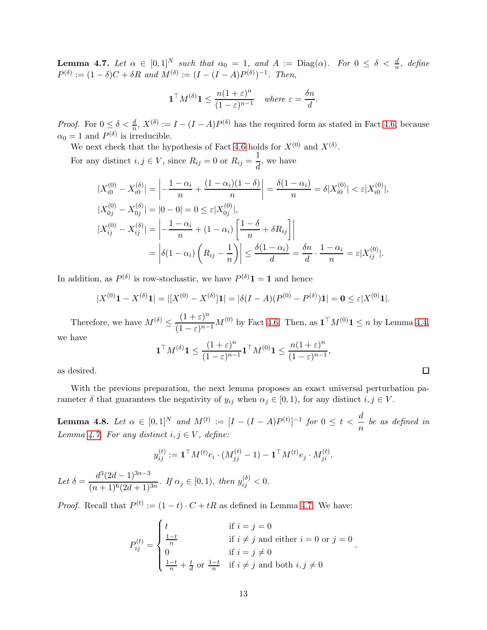**Lemma 4.7.** Let  $\alpha \in [0,1]^N$  such that  $\alpha_0 = 1$ , and  $A := \text{Diag}(\alpha)$ . For  $0 \leq \delta < \frac{d}{n}$ , define  $P^{(\delta)} := (1 - \delta)C + \delta R$  and  $M^{(\delta)} := (I - (I - A)P^{(\delta)})^{-1}$ . Then,

$$
\mathbf{1}^\top M^{(\delta)} \mathbf{1} \le \frac{n(1+\varepsilon)^n}{(1-\varepsilon)^{n-1}} \quad \text{where } \varepsilon = \frac{\delta n}{d}.
$$

*Proof.* For  $0 \le \delta < \frac{d}{n}$ ,  $X^{(\delta)} := I - (I - A)P^{(\delta)}$  has the required form as stated in Fact [4.6,](#page-12-0) because  $\alpha_0 = 1$  and  $P^{(\delta)}$  is irreducible.

We next check that the hypothesis of Fact [4.6](#page-12-0) holds for  $X^{(0)}$  and  $X^{(\delta)}$ .

For any distinct  $i, j \in V$ , since  $R_{ij} = 0$  or  $R_{ij} = \frac{1}{J}$  $\frac{1}{d}$ , we have

$$
\begin{split} |X_{i0}^{(0)} - X_{i0}^{(\delta)}| &= \left| -\frac{1 - \alpha_i}{n} + \frac{(1 - \alpha_i)(1 - \delta)}{n} \right| = \frac{\delta(1 - \alpha_i)}{n} = \delta |X_{i0}^{(0)}| < \varepsilon |X_{i0}^{(0)}|, \\ |X_{0j}^{(0)} - X_{0j}^{(\delta)}| &= |0 - 0| = 0 \le \varepsilon |X_{0j}^{(0)}|, \\ |X_{ij}^{(0)} - X_{ij}^{(\delta)}| &= \left| -\frac{1 - \alpha_i}{n} + (1 - \alpha_i) \left[ \frac{1 - \delta}{n} + \delta R_{ij} \right] \right| \\ &= \left| \delta(1 - \alpha_i) \left( R_{ij} - \frac{1}{n} \right) \right| \le \frac{\delta(1 - \alpha_i)}{d} = \frac{\delta n}{d} \cdot \frac{1 - \alpha_i}{n} = \varepsilon |X_{ij}^{(0)}|. \end{split}
$$

In addition, as  $P^{(\delta)}$  is row-stochastic, we have  $P^{(\delta)}\mathbf{1} = \mathbf{1}$  and hence

$$
|X^{(0)}\mathbf{1} - X^{(\delta)}\mathbf{1}| = |[X^{(0)} - X^{(\delta)}]\mathbf{1}| = |\delta(I - A)(P^{(0)} - P^{(\delta)})\mathbf{1}| = \mathbf{0} \le \varepsilon |X^{(0)}\mathbf{1}|.
$$

Therefore, we have  $M^{(\delta)} \leq \frac{(1+\varepsilon)^n}{(1-\varepsilon)^n}$  $\frac{(1+\epsilon)}{(1-\epsilon)^{n-1}}M^{(0)}$  by Fact [4.6.](#page-12-0) Then, as  $\mathbf{1}^\top M^{(0)}\mathbf{1} \leq n$  by Lemma [4.4,](#page-9-0) we have

$$
\mathbf{1}^\top M^{(\delta)} \mathbf{1} \le \frac{(1+\varepsilon)^n}{(1-\varepsilon)^{n-1}} \mathbf{1}^\top M^{(0)} \mathbf{1} \le \frac{n(1+\varepsilon)^n}{(1-\varepsilon)^{n-1}},
$$

as desired.

<span id="page-13-0"></span>With the previous preparation, the next lemma proposes an exact universal perturbation parameter  $\delta$  that guarantees the negativity of  $y_{ij}$  when  $\alpha_j \in [0,1)$ , for any distinct  $i, j \in V$ .

Lemma 4.8. Let  $\alpha \in [0,1]^N$  and  $M^{(t)} := [I - (I - A)P^{(t)}]^{-1}$  for  $0 \le t < \frac{d}{d}$  $\frac{a}{n}$  be as defined in Lemma [4.7.](#page-12-1) For any distinct  $i, j \in V$ , define:

$$
y_{ij}^{(t)} := \mathbf{1}^{\top} M^{(t)} e_i \cdot (M_{jj}^{(t)} - 1) - \mathbf{1}^{\top} M^{(t)} e_j \cdot M_{ji}^{(t)}.
$$
  
Let  $\delta = \frac{d^3 (2d - 1)^{3n - 3}}{(n + 1)^6 (2d + 1)^{3n}}.$  If  $\alpha_j \in [0, 1)$ , then  $y_{ij}^{(\delta)} < 0$ .

*Proof.* Recall that  $P^{(t)} := (1-t) \cdot C + tR$  as defined in Lemma [4.7.](#page-12-1) We have:

$$
P_{ij}^{(t)} = \begin{cases} t & \text{if } i = j = 0 \\ \frac{1-t}{n} & \text{if } i \neq j \text{ and either } i = 0 \text{ or } j = 0 \\ 0 & \text{if } i = j \neq 0 \\ \frac{1-t}{n} + \frac{t}{d} \text{ or } \frac{1-t}{n} & \text{if } i \neq j \text{ and both } i, j \neq 0 \end{cases}.
$$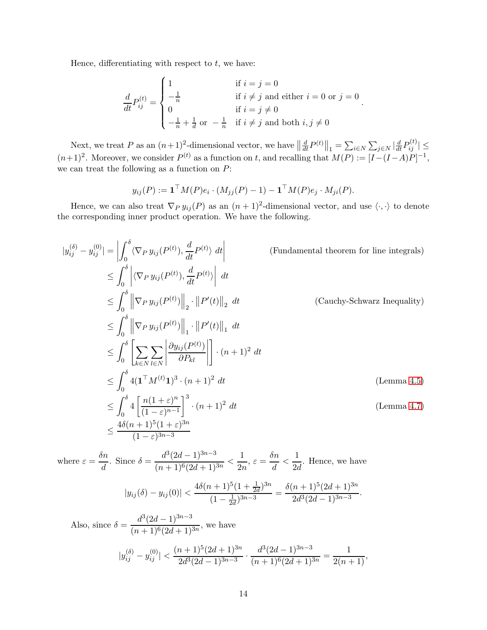Hence, differentiating with respect to  $t$ , we have:

$$
\frac{d}{dt}P_{ij}^{(t)} = \begin{cases}\n1 & \text{if } i = j = 0 \\
-\frac{1}{n} & \text{if } i \neq j \text{ and either } i = 0 \text{ or } j = 0 \\
0 & \text{if } i = j \neq 0 \\
-\frac{1}{n} + \frac{1}{d} \text{ or } -\frac{1}{n} & \text{if } i \neq j \text{ and both } i, j \neq 0\n\end{cases}
$$

.

.

Next, we treat P as an  $(n+1)^2$ -dimensional vector, we have  $\left\|\frac{d}{dt}P^{(t)}\right\|_1 = \sum_{i\in N}\sum_{j\in N}\left|\frac{d}{dt}P^{(t)}_{ij}\right| \le$  $(n+1)^2$ . Moreover, we consider  $P^{(t)}$  as a function on t, and recalling that  $M(P) := [I - (I - A)P]^{-1}$ , we can treat the following as a function on  $P$ :

$$
y_{ij}(P) := \mathbf{1}^\top M(P)e_i \cdot (M_{jj}(P) - 1) - \mathbf{1}^\top M(P)e_j \cdot M_{ji}(P).
$$

Hence, we can also treat  $\nabla_P y_{ij}(P)$  as an  $(n+1)^2$ -dimensional vector, and use  $\langle \cdot, \cdot \rangle$  to denote the corresponding inner product operation. We have the following.

$$
|y_{ij}^{(\delta)} - y_{ij}^{(0)}| = \left| \int_0^{\delta} \langle \nabla_P y_{ij}(P^{(t)}), \frac{d}{dt} P^{(t)} \rangle dt \right|
$$
 (Fundamental theorem for line integrals)  
\n
$$
\leq \int_0^{\delta} \left| \langle \nabla_P y_{ij}(P^{(t)}), \frac{d}{dt} P^{(t)} \rangle \right| dt
$$
  
\n
$$
\leq \int_0^{\delta} \left\| \nabla_P y_{ij}(P^{(t)}) \right\|_2 \cdot \left\| P'(t) \right\|_2 dt
$$
 (Cauchy-Schwarz Inequality)  
\n
$$
\leq \int_0^{\delta} \left\| \nabla_P y_{ij}(P^{(t)}) \right\|_1 \cdot \left\| P'(t) \right\|_1 dt
$$
  
\n
$$
\leq \int_0^{\delta} \left[ \sum_{k \in N} \sum_{l \in N} \left| \frac{\partial y_{ij}(P^{(t)})}{\partial P_{kl}} \right| \right] \cdot (n+1)^2 dt
$$
  
\n
$$
\leq \int_0^{\delta} 4(1^{\top} M^{(t)} 1)^3 \cdot (n+1)^2 dt
$$
 (Lemma 4.5)  
\n
$$
\leq \int_0^{\delta} 4 \left[ \frac{n(1+\varepsilon)^n}{(1-\varepsilon)^{n-1}} \right]^3 \cdot (n+1)^2 dt
$$
 (Lemma 4.7)  
\n
$$
\leq \frac{4\delta(n+1)^5(1+\varepsilon)^{3n}}{(1-\varepsilon)^{3n-3}}
$$

where  $\varepsilon = \frac{\delta n}{l}$  $\frac{\delta n}{d}$ . Since  $\delta = \frac{d^3(2d-1)^{3n-3}}{(n+1)^6(2d+1)^3}$  $\frac{d^3(2d-1)^{3n-3}}{(n+1)^6(2d+1)^{3n}} < \frac{1}{2n}$  $\frac{1}{2n}, \varepsilon = \frac{\delta n}{d}$  $\frac{\delta n}{d} < \frac{1}{2d}$  $\frac{1}{2d}$ . Hence, we have

$$
|y_{ij}(\delta) - y_{ij}(0)| < \frac{4\delta(n+1)^5(1+\frac{1}{2d})^{3n}}{(1-\frac{1}{2d})^{3n-3}} = \frac{\delta(n+1)^5(2d+1)^{3n}}{2d^3(2d-1)^{3n-3}}
$$

Also, since  $\delta = \frac{d^3(2d-1)^{3n-3}}{(n+1)^\frac{6}{6}(2n+1)}$  $\frac{(n+1)^6(2d+1)^{3n}}{(n+1)^6(2d+1)^{3n}}$ , we have  $|y_{ij}^{(\delta)}-y_{ij}^{(0)}|<$  $(n+1)^5(2d+1)^{3n}$  $\frac{(n+1)^5(2d+1)^{3n}}{2d^3(2d-1)^{3n-3}} \cdot \frac{d^3(2d-1)^{3n-3}}{(n+1)^6(2d+1)^3}$  $rac{d^3(2d-1)^{3n-3}}{(n+1)^6(2d+1)^{3n}} = \frac{1}{2(n+1)},$